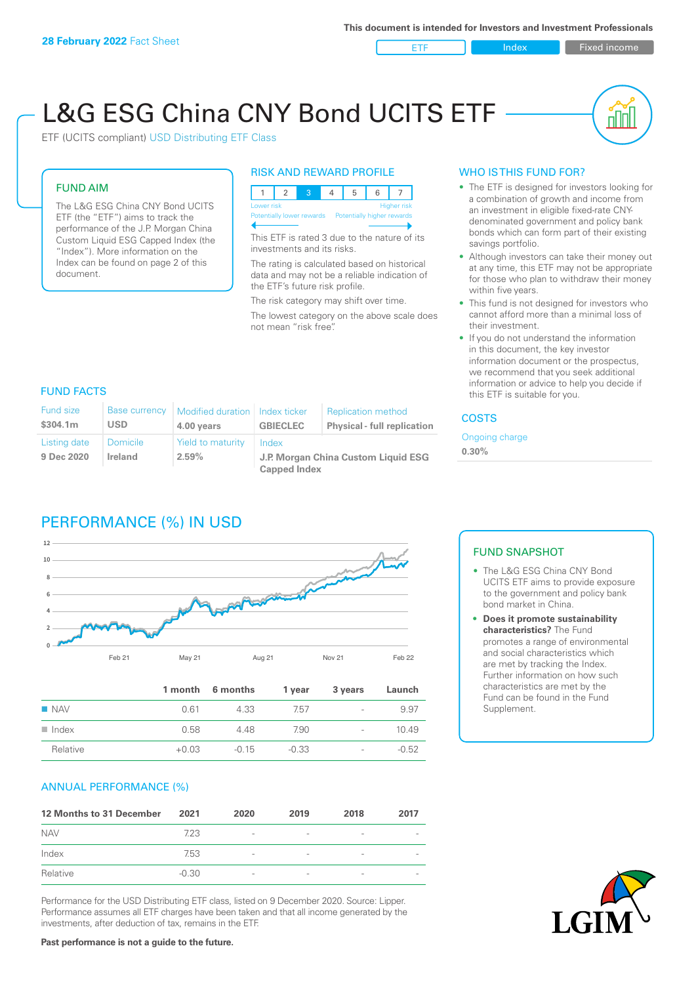ETF Index Fixed income

nn

# L&G ESG China CNY Bond UCITS ETF

ETF (UCITS compliant) USD Distributing ETF Class

### FUND AIM

The L&G ESG China CNY Bond UCITS ETF (the "ETF") aims to track the performance of the J.P. Morgan China Custom Liquid ESG Capped Index (the "Index"). More information on the Index can be found on page 2 of this document.

#### RISK AND REWARD PROFILE



This ETF is rated 3 due to the nature of its investments and its risks.

The rating is calculated based on historical data and may not be a reliable indication of the ETF's future risk profile.

The risk category may shift over time. The lowest category on the above scale does not mean "risk free".

## WHO IS THIS FUND FOR?

- The ETF is designed for investors looking for a combination of growth and income from an investment in eligible fixed-rate CNYdenominated government and policy bank bonds which can form part of their existing savings portfolio.
- Although investors can take their money out at any time, this ETF may not be appropriate for those who plan to withdraw their money within five years.
- This fund is not designed for investors who cannot afford more than a minimal loss of their investment.
- If you do not understand the information in this document, the key investor information document or the prospectus, we recommend that you seek additional information or advice to help you decide if this ETF is suitable for you.

### FUND FACTS

| <b>Fund size</b><br>\$304.1m | <b>Base currency</b><br><b>USD</b> | Modified duration   Index ticker<br>4.00 years | <b>GBIECLEC</b>                              | <b>Replication method</b><br><b>Physical - full replication</b> | <b>COSTS</b> |  |
|------------------------------|------------------------------------|------------------------------------------------|----------------------------------------------|-----------------------------------------------------------------|--------------|--|
| Listing date<br>9 Dec 2020   | Domicile<br><b>Ireland</b>         | Yield to maturity<br>$2.59\%$                  | Index<br>J.P. Morgan China Custom Liquid ESG | Ongoing charge<br>$0.30\%$                                      |              |  |
|                              |                                    |                                                | <b>Capped Index</b>                          |                                                                 |              |  |

# PERFORMANCE (%) IN USD



|                      |         | 1 month 6 months | 1 year  | 3 years                  | Launch  |
|----------------------|---------|------------------|---------|--------------------------|---------|
| $\blacksquare$ NAV   | 0.61    | 4.33             | 7.57    | $\overline{\phantom{a}}$ | 9.97    |
| $\blacksquare$ Index | 0.58    | 448              | 7.90    | $\overline{\phantom{a}}$ | 1049    |
| Relative             | $+0.03$ | $-0.15$          | $-0.33$ | $\overline{\phantom{a}}$ | $-0.52$ |

### ANNUAL PERFORMANCE (%)

| 12 Months to 31 December | 2021    | 2020                     | 2019                     | 2018            | 2017 |
|--------------------------|---------|--------------------------|--------------------------|-----------------|------|
| <b>NAV</b>               | 7.23    | $\overline{\phantom{a}}$ | $\overline{\phantom{a}}$ | $\qquad \qquad$ |      |
| Index                    | 7.53    | $\overline{\phantom{a}}$ | $\qquad \qquad$          | $\qquad \qquad$ |      |
| Relative                 | $-0.30$ | $\overline{\phantom{a}}$ | $\overline{\phantom{a}}$ |                 |      |

Performance for the USD Distributing ETF class, listed on 9 December 2020. Source: Lipper. Performance assumes all ETF charges have been taken and that all income generated by the investments, after deduction of tax, remains in the ETF.

### FUND SNAPSHOT

- The L&G ESG China CNY Bond UCITS ETF aims to provide exposure to the government and policy bank bond market in China.
- **• Does it promote sustainability characteristics?** The Fund promotes a range of environmental and social characteristics which are met by tracking the Index. Further information on how such characteristics are met by the Fund can be found in the Fund Supplement.



**Past performance is not a guide to the future.**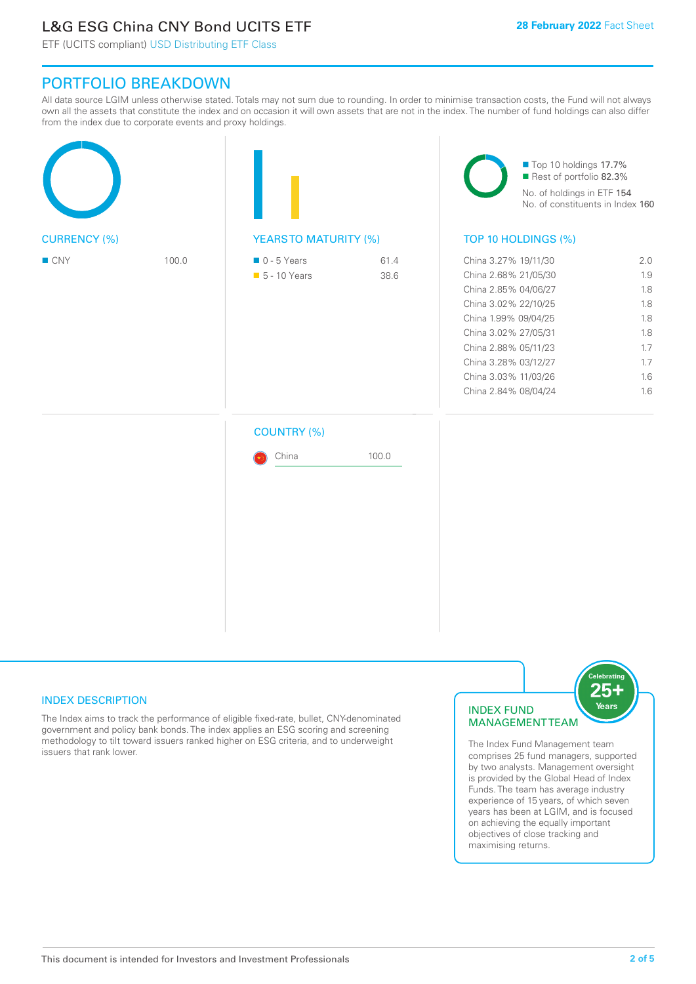# L&G ESG China CNY Bond UCITS ETF

ETF (UCITS compliant) USD Distributing ETF Class

# PORTFOLIO BREAKDOWN

All data source LGIM unless otherwise stated. Totals may not sum due to rounding. In order to minimise transaction costs, the Fund will not always own all the assets that constitute the index and on occasion it will own assets that are not in the index. The number of fund holdings can also differ from the index due to corporate events and proxy holdings.

|                     |       |                                              |              | Top 10 holdings 17.7%<br>Rest of portfolio 82.3%<br>No. of holdings in ETF 154<br>No. of constituents in Index 160                                                                                                                           |                                                                    |  |
|---------------------|-------|----------------------------------------------|--------------|----------------------------------------------------------------------------------------------------------------------------------------------------------------------------------------------------------------------------------------------|--------------------------------------------------------------------|--|
| <b>CURRENCY (%)</b> |       | <b>YEARSTO MATURITY (%)</b>                  |              | TOP 10 HOLDINGS (%)                                                                                                                                                                                                                          |                                                                    |  |
| ■ CNY               | 100.0 | $\blacksquare$ 0 - 5 Years<br>• 5 - 10 Years | 61.4<br>38.6 | China 3.27% 19/11/30<br>China 2.68% 21/05/30<br>China 2.85% 04/06/27<br>China 3.02% 22/10/25<br>China 1.99% 09/04/25<br>China 3.02% 27/05/31<br>China 2.88% 05/11/23<br>China 3.28% 03/12/27<br>China 3.03% 11/03/26<br>China 2.84% 08/04/24 | 2.0<br>1.9<br>1.8<br>1.8<br>1.8<br>1.8<br>1.7<br>1.7<br>1.6<br>1.6 |  |
|                     |       | <b>COUNTRY (%)</b><br>China                  | 100.0        |                                                                                                                                                                                                                                              |                                                                    |  |

# INDEX DESCRIPTION

The Index aims to track the performance of eligible fixed-rate, bullet, CNY-denominated government and policy bank bonds. The index applies an ESG scoring and screening methodology to tilt toward issuers ranked higher on ESG criteria, and to underweight issuers that rank lower.

### INDEX FUND MANAGEMENT TEAM



The Index Fund Management team comprises 25 fund managers, supported by two analysts. Management oversight is provided by the Global Head of Index Funds. The team has average industry experience of 15 years, of which seven years has been at LGIM, and is focused on achieving the equally important objectives of close tracking and maximising returns.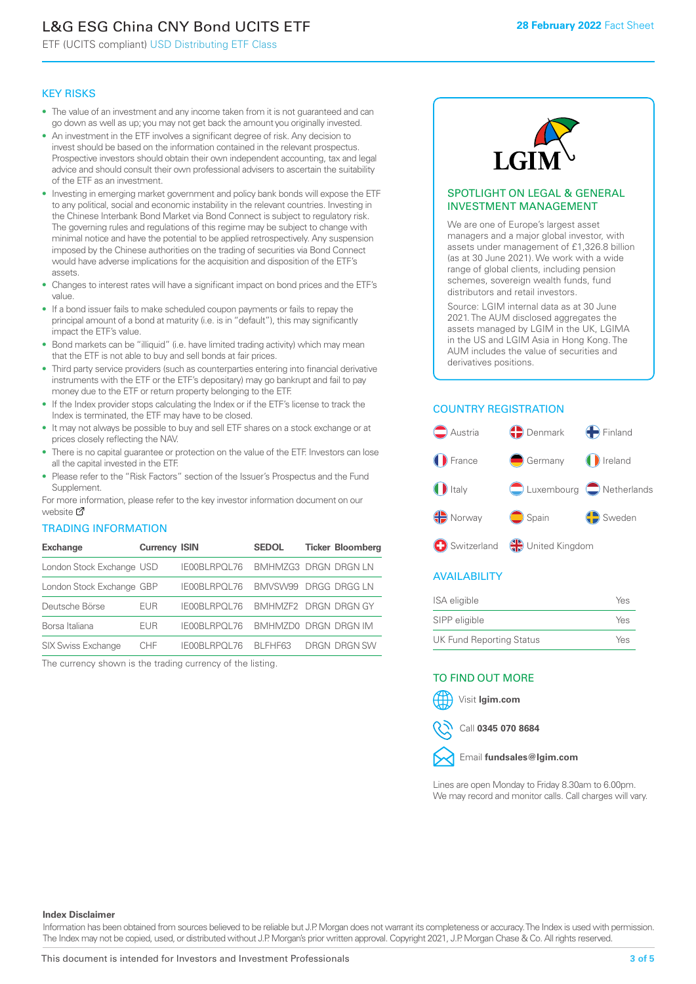# L&G ESG China CNY Bond UCITS ETF

ETF (UCITS compliant) USD Distributing ETF Class

#### KEY RISKS

- The value of an investment and any income taken from it is not guaranteed and can go down as well as up; you may not get back the amount you originally invested.
- An investment in the ETF involves a significant degree of risk. Any decision to invest should be based on the information contained in the relevant prospectus. Prospective investors should obtain their own independent accounting, tax and legal advice and should consult their own professional advisers to ascertain the suitability of the ETF as an investment.
- Investing in emerging market government and policy bank bonds will expose the ETF to any political, social and economic instability in the relevant countries. Investing in the Chinese Interbank Bond Market via Bond Connect is subject to regulatory risk. The governing rules and regulations of this regime may be subject to change with minimal notice and have the potential to be applied retrospectively. Any suspension imposed by the Chinese authorities on the trading of securities via Bond Connect would have adverse implications for the acquisition and disposition of the ETF's assets.
- Changes to interest rates will have a significant impact on bond prices and the ETF's value.
- If a bond issuer fails to make scheduled coupon payments or fails to repay the principal amount of a bond at maturity (i.e. is in "default"), this may significantly impact the ETF's value.
- Bond markets can be "illiquid" (i.e. have limited trading activity) which may mean that the ETF is not able to buy and sell bonds at fair prices.
- Third party service providers (such as counterparties entering into financial derivative instruments with the ETF or the ETF's depositary) may go bankrupt and fail to pay money due to the ETF or return property belonging to the ETF.
- If the Index provider stops calculating the Index or if the ETF's license to track the Index is terminated, the ETF may have to be closed.
- It may not always be possible to buy and sell ETF shares on a stock exchange or at prices closely reflecting the NAV.
- There is no capital guarantee or protection on the value of the ETF. Investors can lose all the capital invested in the ETF.
- Please refer to the "Risk Factors" section of the Issuer's Prospectus and the Fund Supplement.

For mo[re inf](https://www.lgimetf.com/)ormation, please refer to the key investor information document on our website M

### TRADING INFORMATION

| <b>Exchange</b>           | <b>Currency ISIN</b> |                                   | <b>SEDOL</b>         | <b>Ticker Bloomberg</b> |
|---------------------------|----------------------|-----------------------------------|----------------------|-------------------------|
| London Stock Exchange USD |                      | IE00BLRPOL76                      | BMHMZG3 DRGN DRGN LN |                         |
| London Stock Exchange GBP |                      | IE00BLRPOL76                      | BMVSW99 DRGG DRGG LN |                         |
| Deutsche Börse            | EUR                  | IE00BLRPOL76 BMHMZF2 DRGN DRGN GY |                      |                         |
| Borsa Italiana            | EUR                  | <b>IFOOBL RPOL 76</b>             | BMHMZD0 DRGN DRGN IM |                         |
| <b>SIX Swiss Exchange</b> | CHF.                 | IE00BLRPOL76                      | BI FHF63             | DRGN DRGN SW            |

The currency shown is the trading currency of the listing.



#### SPOTLIGHT ON LEGAL & GENERAL INVESTMENT MANAGEMENT

We are one of Europe's largest asset managers and a major global investor, with assets under management of £1,326.8 billion (as at 30 June 2021). We work with a wide range of global clients, including pension schemes, sovereign wealth funds, fund distributors and retail investors.

Source: LGIM internal data as at 30 June 2021. The AUM disclosed aggregates the assets managed by LGIM in the UK, LGIMA in the US and LGIM Asia in Hong Kong. The AUM includes the value of securities and derivatives positions.

# COUNTRY REGISTRATION



### AVAILABILITY

| ISA eligible                    | Yes |
|---------------------------------|-----|
| SIPP eligible                   | Yes |
| <b>UK Fund Reporting Status</b> | Yes |

### TO FIND OUT MORE





Call **0345 070 8684**



Lines are open Monday to Friday 8.30am to 6.00pm. We may record and monitor calls. Call charges will vary.

#### **Index Disclaimer**

Information has been obtained from sources believed to be reliable but J.P. Morgan does not warrant its completeness or accuracy. The Index is used with permission. The Index may not be copied, used, or distributed without J.P. Morgan's prior written approval. Copyright 2021, J.P. Morgan Chase & Co. All rights reserved.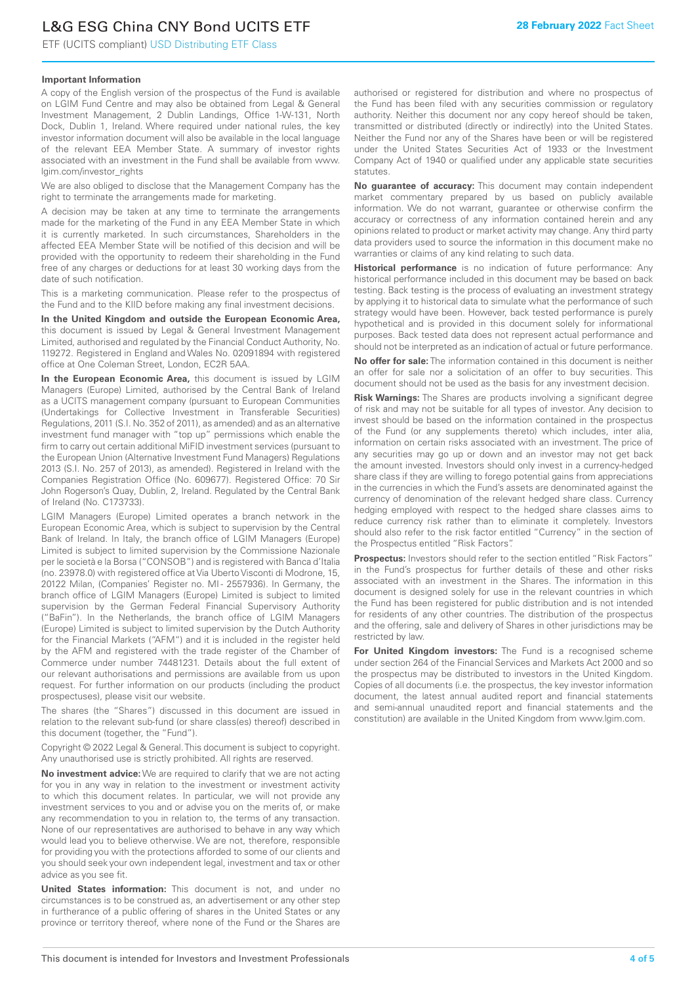# L&G ESG China CNY Bond UCITS ETF

ETF (UCITS compliant) USD Distributing ETF Class

### **Important Information**

A copy of the English version of the prospectus of the Fund is available on LGIM Fund Centre and may also be obtained from Legal & General Investment Management, 2 Dublin Landings, Office 1-W-131, North Dock, Dublin 1, Ireland. Where required under national rules, the key investor information document will also be available in the local language of the relevant EEA Member State. A summary of investor rights associated with an investment in the Fund shall be available from www. lgim.com/investor\_rights

We are also obliged to disclose that the Management Company has the right to terminate the arrangements made for marketing.

A decision may be taken at any time to terminate the arrangements made for the marketing of the Fund in any EEA Member State in which it is currently marketed. In such circumstances, Shareholders in the affected EEA Member State will be notified of this decision and will be provided with the opportunity to redeem their shareholding in the Fund free of any charges or deductions for at least 30 working days from the date of such notification.

This is a marketing communication. Please refer to the prospectus of the Fund and to the KIID before making any final investment decisions.

**In the United Kingdom and outside the European Economic Area,** this document is issued by Legal & General Investment Management Limited, authorised and regulated by the Financial Conduct Authority, No. 119272. Registered in England and Wales No. 02091894 with registered office at One Coleman Street, London, EC2R 5AA.

**In the European Economic Area,** this document is issued by LGIM Managers (Europe) Limited, authorised by the Central Bank of Ireland as a UCITS management company (pursuant to European Communities (Undertakings for Collective Investment in Transferable Securities) Regulations, 2011 (S.I. No. 352 of 2011), as amended) and as an alternative investment fund manager with "top up" permissions which enable the firm to carry out certain additional MiFID investment services (pursuant to the European Union (Alternative Investment Fund Managers) Regulations 2013 (S.I. No. 257 of 2013), as amended). Registered in Ireland with the Companies Registration Office (No. 609677). Registered Office: 70 Sir John Rogerson's Quay, Dublin, 2, Ireland. Regulated by the Central Bank of Ireland (No. C173733).

LGIM Managers (Europe) Limited operates a branch network in the European Economic Area, which is subject to supervision by the Central Bank of Ireland. In Italy, the branch office of LGIM Managers (Europe) Limited is subject to limited supervision by the Commissione Nazionale per le società e la Borsa ("CONSOB") and is registered with Banca d'Italia (no. 23978.0) with registered office at Via Uberto Visconti di Modrone, 15, 20122 Milan, (Companies' Register no. MI - 2557936). In Germany, the branch office of LGIM Managers (Europe) Limited is subject to limited supervision by the German Federal Financial Supervisory Authority ("BaFin"). In the Netherlands, the branch office of LGIM Managers (Europe) Limited is subject to limited supervision by the Dutch Authority for the Financial Markets ("AFM") and it is included in the register held by the AFM and registered with the trade register of the Chamber of Commerce under number 74481231. Details about the full extent of our relevant authorisations and permissions are available from us upon request. For further information on our products (including the product prospectuses), please visit our website.

The shares (the "Shares") discussed in this document are issued in relation to the relevant sub-fund (or share class(es) thereof) described in this document (together, the "Fund").

Copyright © 2022 Legal & General. This document is subject to copyright. Any unauthorised use is strictly prohibited. All rights are reserved.

**No investment advice:** We are required to clarify that we are not acting for you in any way in relation to the investment or investment activity to which this document relates. In particular, we will not provide any investment services to you and or advise you on the merits of, or make any recommendation to you in relation to, the terms of any transaction. None of our representatives are authorised to behave in any way which would lead you to believe otherwise. We are not, therefore, responsible for providing you with the protections afforded to some of our clients and you should seek your own independent legal, investment and tax or other advice as you see fit.

**United States information:** This document is not, and under no circumstances is to be construed as, an advertisement or any other step in furtherance of a public offering of shares in the United States or any province or territory thereof, where none of the Fund or the Shares are authorised or registered for distribution and where no prospectus of the Fund has been filed with any securities commission or regulatory authority. Neither this document nor any copy hereof should be taken, transmitted or distributed (directly or indirectly) into the United States. Neither the Fund nor any of the Shares have been or will be registered under the United States Securities Act of 1933 or the Investment Company Act of 1940 or qualified under any applicable state securities statutes.

**No guarantee of accuracy:** This document may contain independent market commentary prepared by us based on publicly available information. We do not warrant, guarantee or otherwise confirm the accuracy or correctness of any information contained herein and any opinions related to product or market activity may change. Any third party data providers used to source the information in this document make no warranties or claims of any kind relating to such data.

**Historical performance** is no indication of future performance: Any historical performance included in this document may be based on back testing. Back testing is the process of evaluating an investment strategy by applying it to historical data to simulate what the performance of such strategy would have been. However, back tested performance is purely hypothetical and is provided in this document solely for informational purposes. Back tested data does not represent actual performance and should not be interpreted as an indication of actual or future performance.

**No offer for sale:** The information contained in this document is neither an offer for sale nor a solicitation of an offer to buy securities. This document should not be used as the basis for any investment decision.

**Risk Warnings:** The Shares are products involving a significant degree of risk and may not be suitable for all types of investor. Any decision to invest should be based on the information contained in the prospectus of the Fund (or any supplements thereto) which includes, inter alia, information on certain risks associated with an investment. The price of any securities may go up or down and an investor may not get back the amount invested. Investors should only invest in a currency-hedged share class if they are willing to forego potential gains from appreciations in the currencies in which the Fund's assets are denominated against the currency of denomination of the relevant hedged share class. Currency hedging employed with respect to the hedged share classes aims to reduce currency risk rather than to eliminate it completely. Investors should also refer to the risk factor entitled "Currency" in the section of the Prospectus entitled "Risk Factors".

**Prospectus:** Investors should refer to the section entitled "Risk Factors" in the Fund's prospectus for further details of these and other risks associated with an investment in the Shares. The information in this document is designed solely for use in the relevant countries in which the Fund has been registered for public distribution and is not intended for residents of any other countries. The distribution of the prospectus and the offering, sale and delivery of Shares in other jurisdictions may be restricted by law.

**For United Kingdom investors:** The Fund is a recognised scheme under section 264 of the Financial Services and Markets Act 2000 and so the prospectus may be distributed to investors in the United Kingdom. Copies of all documents (i.e. the prospectus, the key investor information document, the latest annual audited report and financial statements and semi-annual unaudited report and financial statements and the constitution) are available in the United Kingdom from www.lgim.com.